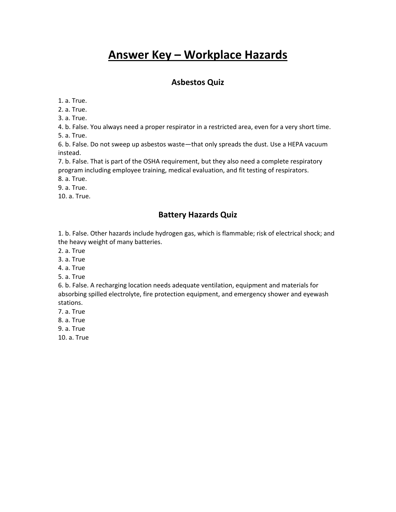# **Answer Key – Workplace Hazards**

#### **Asbestos Quiz**

1. a. True.

2. a. True.

3. a. True.

4. b. False. You always need a proper respirator in a restricted area, even for a very short time. 5. a. True.

6. b. False. Do not sweep up asbestos waste—that only spreads the dust. Use a HEPA vacuum instead.

7. b. False. That is part of the OSHA requirement, but they also need a complete respiratory program including employee training, medical evaluation, and fit testing of respirators.

8. a. True.

9. a. True.

10. a. True.

#### **Battery Hazards Quiz**

1. b. False. Other hazards include hydrogen gas, which is flammable; risk of electrical shock; and the heavy weight of many batteries.

2. a. True

3. a. True

4. a. True

5. a. True

6. b. False. A recharging location needs adequate ventilation, equipment and materials for absorbing spilled electrolyte, fire protection equipment, and emergency shower and eyewash stations.

7. a. True

8. a. True

9. a. True

10. a. True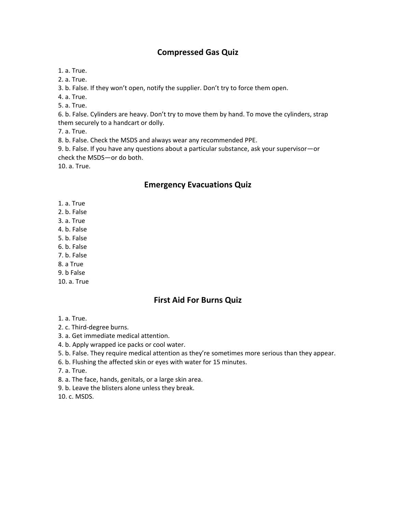## **Compressed Gas Quiz**

1. a. True.

2. a. True.

3. b. False. If they won't open, notify the supplier. Don't try to force them open.

4. a. True.

5. a. True.

6. b. False. Cylinders are heavy. Don't try to move them by hand. To move the cylinders, strap them securely to a handcart or dolly.

7. a. True.

8. b. False. Check the MSDS and always wear any recommended PPE.

9. b. False. If you have any questions about a particular substance, ask your supervisor—or check the MSDS—or do both.

10. a. True.

### **Emergency Evacuations Quiz**

- 1. a. True
- 2. b. False
- 3. a. True
- 4. b. False
- 5. b. False
- 6. b. False
- 7. b. False
- 8. a True
- 9. b False
- 10. a. True

# **First Aid For Burns Quiz**

- 1. a. True.
- 2. c. Third-degree burns.
- 3. a. Get immediate medical attention.
- 4. b. Apply wrapped ice packs or cool water.
- 5. b. False. They require medical attention as they're sometimes more serious than they appear.
- 6. b. Flushing the affected skin or eyes with water for 15 minutes.
- 7. a. True.
- 8. a. The face, hands, genitals, or a large skin area.
- 9. b. Leave the blisters alone unless they break.

10. c. MSDS.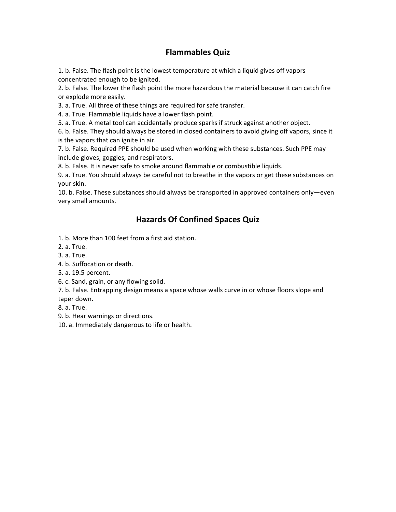## **Flammables Quiz**

1. b. False. The flash point is the lowest temperature at which a liquid gives off vapors concentrated enough to be ignited.

2. b. False. The lower the flash point the more hazardous the material because it can catch fire or explode more easily.

3. a. True. All three of these things are required for safe transfer.

4. a. True. Flammable liquids have a lower flash point.

5. a. True. A metal tool can accidentally produce sparks if struck against another object.

6. b. False. They should always be stored in closed containers to avoid giving off vapors, since it is the vapors that can ignite in air.

7. b. False. Required PPE should be used when working with these substances. Such PPE may include gloves, goggles, and respirators.

8. b. False. It is never safe to smoke around flammable or combustible liquids.

9. a. True. You should always be careful not to breathe in the vapors or get these substances on your skin.

10. b. False. These substances should always be transported in approved containers only—even very small amounts.

## **Hazards Of Confined Spaces Quiz**

1. b. More than 100 feet from a first aid station.

2. a. True.

3. a. True.

4. b. Suffocation or death.

5. a. 19.5 percent.

6. c. Sand, grain, or any flowing solid.

7. b. False. Entrapping design means a space whose walls curve in or whose floors slope and

taper down.

8. a. True.

9. b. Hear warnings or directions.

10. a. Immediately dangerous to life or health.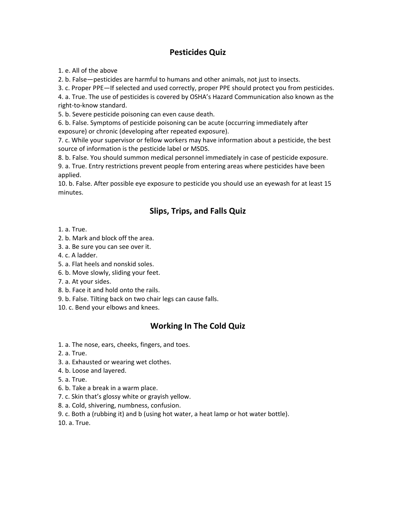# **Pesticides Quiz**

1. e. All of the above

2. b. False—pesticides are harmful to humans and other animals, not just to insects.

3. c. Proper PPE—If selected and used correctly, proper PPE should protect you from pesticides.

4. a. True. The use of pesticides is covered by OSHA's Hazard Communication also known as the right-to-know standard.

5. b. Severe pesticide poisoning can even cause death.

6. b. False. Symptoms of pesticide poisoning can be acute (occurring immediately after exposure) or chronic (developing after repeated exposure).

7. c. While your supervisor or fellow workers may have information about a pesticide, the best source of information is the pesticide label or MSDS.

8. b. False. You should summon medical personnel immediately in case of pesticide exposure.

9. a. True. Entry restrictions prevent people from entering areas where pesticides have been applied.

10. b. False. After possible eye exposure to pesticide you should use an eyewash for at least 15 minutes.

# **Slips, Trips, and Falls Quiz**

1. a. True.

- 2. b. Mark and block off the area.
- 3. a. Be sure you can see over it.
- 4. c. A ladder.
- 5. a. Flat heels and nonskid soles.
- 6. b. Move slowly, sliding your feet.
- 7. a. At your sides.
- 8. b. Face it and hold onto the rails.
- 9. b. False. Tilting back on two chair legs can cause falls.
- 10. c. Bend your elbows and knees.

# **Working In The Cold Quiz**

- 1. a. The nose, ears, cheeks, fingers, and toes.
- 2. a. True.
- 3. a. Exhausted or wearing wet clothes.
- 4. b. Loose and layered.
- 5. a. True.
- 6. b. Take a break in a warm place.
- 7. c. Skin that's glossy white or grayish yellow.
- 8. a. Cold, shivering, numbness, confusion.
- 9. c. Both a (rubbing it) and b (using hot water, a heat lamp or hot water bottle).
- 10. a. True.